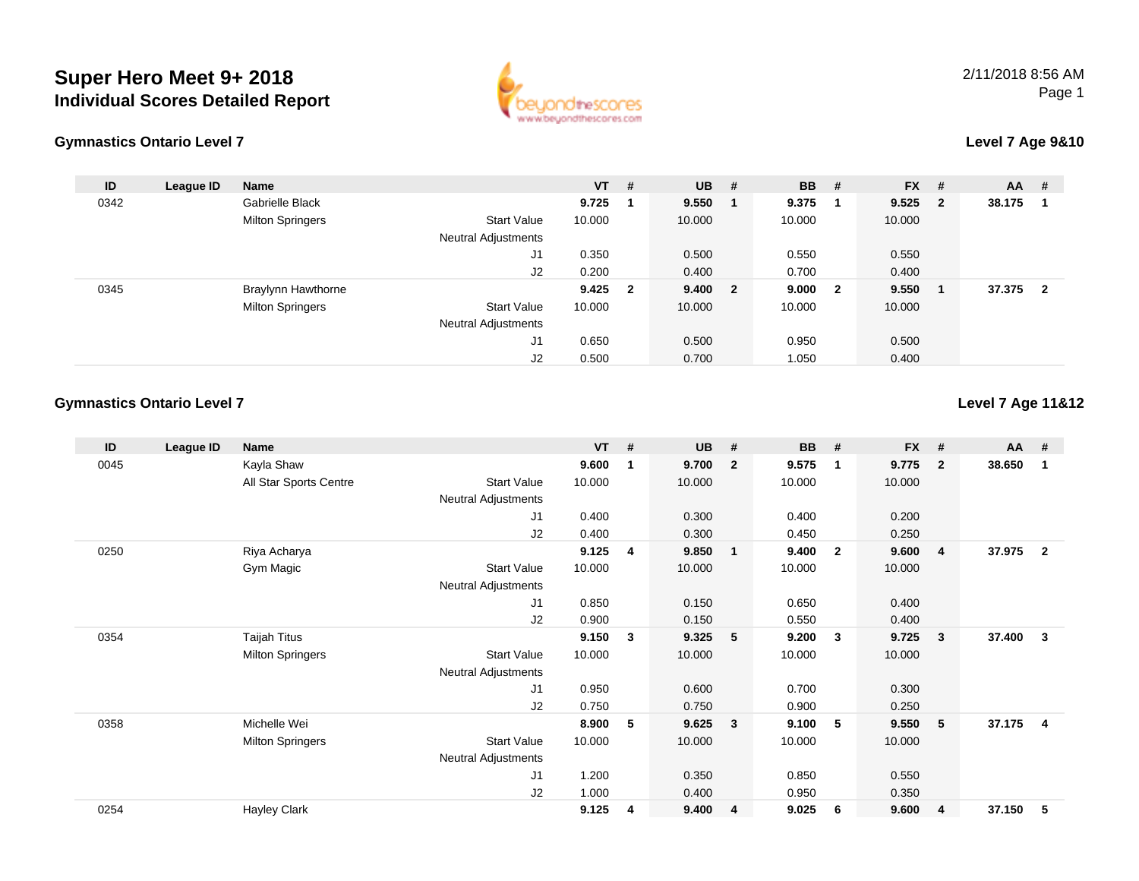



#### **Level 7 Age 9&10**

| ID   | League ID | <b>Name</b>               |                            | $VT$ #    | <b>UB</b> | # | <b>BB</b> | #                       | <b>FX</b> | #            | $AA$ # |                |
|------|-----------|---------------------------|----------------------------|-----------|-----------|---|-----------|-------------------------|-----------|--------------|--------|----------------|
| 0342 |           | Gabrielle Black           |                            | 9.725     | 9.550     |   | 9.375     |                         | 9.525     | $\mathbf{2}$ | 38.175 |                |
|      |           | <b>Milton Springers</b>   | <b>Start Value</b>         | 10.000    | 10.000    |   | 10.000    |                         | 10.000    |              |        |                |
|      |           |                           | <b>Neutral Adjustments</b> |           |           |   |           |                         |           |              |        |                |
|      |           |                           | J <sub>1</sub>             | 0.350     | 0.500     |   | 0.550     |                         | 0.550     |              |        |                |
|      |           |                           | J2                         | 0.200     | 0.400     |   | 0.700     |                         | 0.400     |              |        |                |
| 0345 |           | <b>Braylynn Hawthorne</b> |                            | $9.425$ 2 | 9.400 2   |   | 9.000     | $\overline{\mathbf{2}}$ | 9.550     |              | 37.375 | $\overline{2}$ |
|      |           | <b>Milton Springers</b>   | <b>Start Value</b>         | 10.000    | 10.000    |   | 10.000    |                         | 10.000    |              |        |                |
|      |           |                           | <b>Neutral Adjustments</b> |           |           |   |           |                         |           |              |        |                |
|      |           |                           | J1                         | 0.650     | 0.500     |   | 0.950     |                         | 0.500     |              |        |                |
|      |           |                           | J2                         | 0.500     | 0.700     |   | 1.050     |                         | 0.400     |              |        |                |

#### **Gymnastics Ontario Level 7**

**Level 7 Age 11&12**

| ID   | League ID | Name                    |                            | <b>VT</b> | # | <b>UB</b> | #                       | <b>BB</b> | #                       | <b>FX</b> | #              | $AA$ # |                |
|------|-----------|-------------------------|----------------------------|-----------|---|-----------|-------------------------|-----------|-------------------------|-----------|----------------|--------|----------------|
| 0045 |           | Kayla Shaw              |                            | 9.600     | 1 | 9.700     | $\overline{2}$          | 9.575     | -1                      | 9.775     | $\overline{2}$ | 38.650 | -1             |
|      |           | All Star Sports Centre  | <b>Start Value</b>         | 10.000    |   | 10.000    |                         | 10.000    |                         | 10.000    |                |        |                |
|      |           |                         | Neutral Adjustments        |           |   |           |                         |           |                         |           |                |        |                |
|      |           |                         | J1                         | 0.400     |   | 0.300     |                         | 0.400     |                         | 0.200     |                |        |                |
|      |           |                         | J2                         | 0.400     |   | 0.300     |                         | 0.450     |                         | 0.250     |                |        |                |
| 0250 |           | Riya Acharya            |                            | 9.125     | 4 | 9.850     | $\overline{\mathbf{1}}$ | 9.400     | $\overline{\mathbf{2}}$ | 9.600     | $\overline{4}$ | 37.975 | $\overline{2}$ |
|      |           | Gym Magic               | <b>Start Value</b>         | 10.000    |   | 10.000    |                         | 10.000    |                         | 10.000    |                |        |                |
|      |           |                         | Neutral Adjustments        |           |   |           |                         |           |                         |           |                |        |                |
|      |           |                         | J1                         | 0.850     |   | 0.150     |                         | 0.650     |                         | 0.400     |                |        |                |
|      |           |                         | J <sub>2</sub>             | 0.900     |   | 0.150     |                         | 0.550     |                         | 0.400     |                |        |                |
| 0354 |           | Taijah Titus            |                            | 9.150     | 3 | 9.325     | $-5$                    | 9.200     | -3                      | 9.725     | 3              | 37.400 | 3              |
|      |           | <b>Milton Springers</b> | <b>Start Value</b>         | 10.000    |   | 10.000    |                         | 10.000    |                         | 10.000    |                |        |                |
|      |           |                         | Neutral Adjustments        |           |   |           |                         |           |                         |           |                |        |                |
|      |           |                         | J1                         | 0.950     |   | 0.600     |                         | 0.700     |                         | 0.300     |                |        |                |
|      |           |                         | J2                         | 0.750     |   | 0.750     |                         | 0.900     |                         | 0.250     |                |        |                |
| 0358 |           | Michelle Wei            |                            | 8.900     | 5 | 9.625     | $\overline{\mathbf{3}}$ | 9.100     | 5                       | 9.550     | 5              | 37.175 | $\overline{4}$ |
|      |           | <b>Milton Springers</b> | <b>Start Value</b>         | 10.000    |   | 10.000    |                         | 10.000    |                         | 10.000    |                |        |                |
|      |           |                         | <b>Neutral Adjustments</b> |           |   |           |                         |           |                         |           |                |        |                |
|      |           |                         | J <sub>1</sub>             | 1.200     |   | 0.350     |                         | 0.850     |                         | 0.550     |                |        |                |
|      |           |                         | J <sub>2</sub>             | 1.000     |   | 0.400     |                         | 0.950     |                         | 0.350     |                |        |                |
| 0254 |           | <b>Hayley Clark</b>     |                            | 9.125     | 4 | 9.400     | $\overline{4}$          | 9.025     | 6                       | 9.600     | 4              | 37.150 | 5              |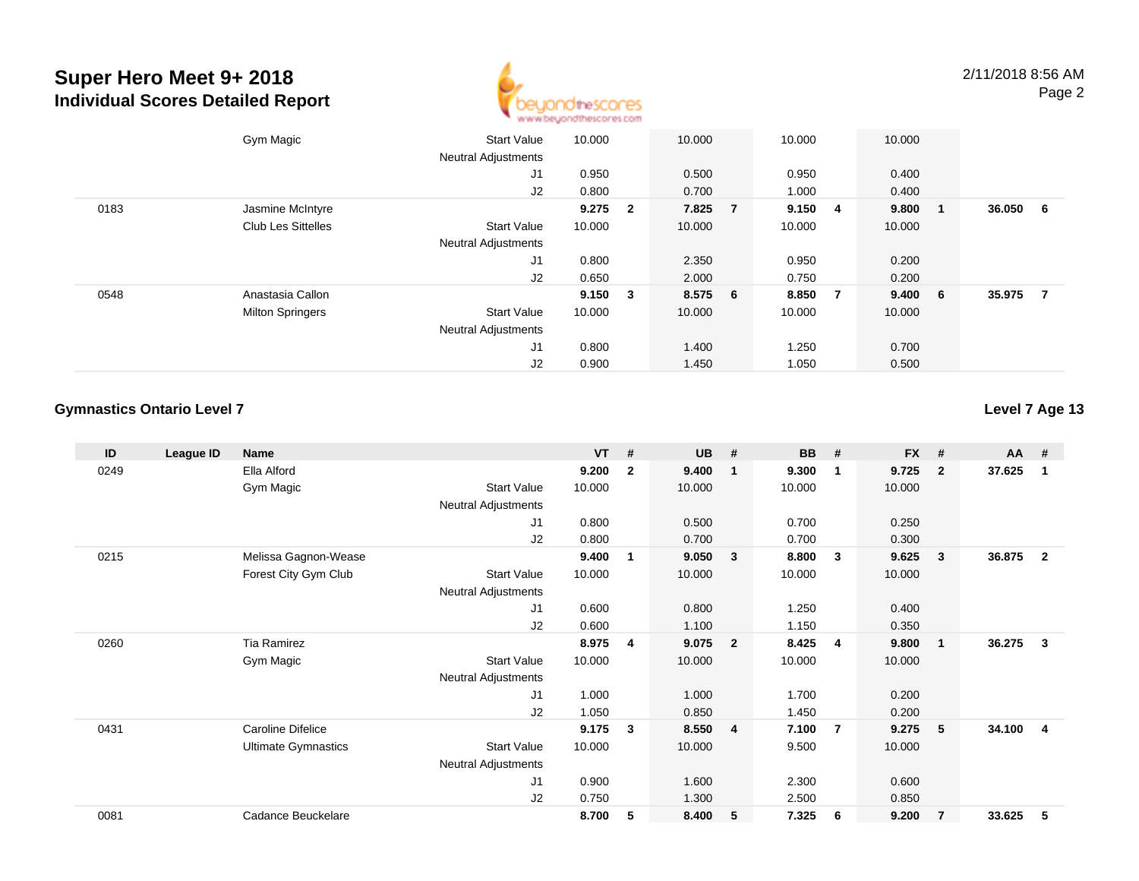

|      | Gym Magic                 | <b>Start Value</b>         | 10.000      | 10.000  | 10.000  |                | 10.000  |     |        |                |
|------|---------------------------|----------------------------|-------------|---------|---------|----------------|---------|-----|--------|----------------|
|      |                           | <b>Neutral Adjustments</b> |             |         |         |                |         |     |        |                |
|      |                           | J1                         | 0.950       | 0.500   | 0.950   |                | 0.400   |     |        |                |
|      |                           | J2                         | 0.800       | 0.700   | 1.000   |                | 0.400   |     |        |                |
| 0183 | Jasmine McIntyre          |                            | $9.275$ 2   | 7.825 7 | 9.150 4 |                | 9.800   | - 1 | 36.050 | - 6            |
|      | <b>Club Les Sittelles</b> | <b>Start Value</b>         | 10.000      | 10.000  | 10.000  |                | 10.000  |     |        |                |
|      |                           | <b>Neutral Adjustments</b> |             |         |         |                |         |     |        |                |
|      |                           | J1                         | 0.800       | 2.350   | 0.950   |                | 0.200   |     |        |                |
|      |                           | J2                         | 0.650       | 2.000   | 0.750   |                | 0.200   |     |        |                |
| 0548 | Anastasia Callon          |                            | $9.150 \t3$ | 8.575 6 | 8.850   | $\overline{7}$ | 9.400 6 |     | 35.975 | $\overline{7}$ |
|      | <b>Milton Springers</b>   | <b>Start Value</b>         | 10.000      | 10.000  | 10.000  |                | 10.000  |     |        |                |
|      |                           | <b>Neutral Adjustments</b> |             |         |         |                |         |     |        |                |
|      |                           | J1                         | 0.800       | 1.400   | 1.250   |                | 0.700   |     |        |                |
|      |                           | J2                         | 0.900       | 1.450   | 1.050   |                | 0.500   |     |        |                |

#### **Gymnastics Ontario Level 7**

**Level 7 Age 13**

| ID   | League ID | <b>Name</b>                |                            | <b>VT</b> | #            | <b>UB</b> | #              | <b>BB</b> | #                       | <b>FX</b> | #                       | <b>AA</b> | #            |
|------|-----------|----------------------------|----------------------------|-----------|--------------|-----------|----------------|-----------|-------------------------|-----------|-------------------------|-----------|--------------|
| 0249 |           | Ella Alford                |                            | 9.200     | $\mathbf{2}$ | 9.400     | $\mathbf{1}$   | 9.300     | $\mathbf 1$             | 9.725     | $\overline{2}$          | 37.625    | 1            |
|      |           | Gym Magic                  | <b>Start Value</b>         | 10.000    |              | 10.000    |                | 10.000    |                         | 10.000    |                         |           |              |
|      |           |                            | <b>Neutral Adjustments</b> |           |              |           |                |           |                         |           |                         |           |              |
|      |           |                            | J1                         | 0.800     |              | 0.500     |                | 0.700     |                         | 0.250     |                         |           |              |
|      |           |                            | J <sub>2</sub>             | 0.800     |              | 0.700     |                | 0.700     |                         | 0.300     |                         |           |              |
| 0215 |           | Melissa Gagnon-Wease       |                            | 9.400     | 1            | 9.050     | $\mathbf{3}$   | 8.800     | $\mathbf{3}$            | 9.625     | 3                       | 36.875    | $\mathbf{2}$ |
|      |           | Forest City Gym Club       | <b>Start Value</b>         | 10.000    |              | 10.000    |                | 10.000    |                         | 10.000    |                         |           |              |
|      |           |                            | Neutral Adjustments        |           |              |           |                |           |                         |           |                         |           |              |
|      |           |                            | J <sub>1</sub>             | 0.600     |              | 0.800     |                | 1.250     |                         | 0.400     |                         |           |              |
|      |           |                            | J2                         | 0.600     |              | 1.100     |                | 1.150     |                         | 0.350     |                         |           |              |
| 0260 |           | <b>Tia Ramirez</b>         |                            | 8.975     | 4            | 9.075     | $\overline{2}$ | 8.425     | $\overline{\mathbf{4}}$ | 9.800     | $\overline{\mathbf{1}}$ | 36.275    | 3            |
|      |           | Gym Magic                  | <b>Start Value</b>         | 10.000    |              | 10.000    |                | 10.000    |                         | 10.000    |                         |           |              |
|      |           |                            | Neutral Adjustments        |           |              |           |                |           |                         |           |                         |           |              |
|      |           |                            | J <sub>1</sub>             | 1.000     |              | 1.000     |                | 1.700     |                         | 0.200     |                         |           |              |
|      |           |                            | J <sub>2</sub>             | 1.050     |              | 0.850     |                | 1.450     |                         | 0.200     |                         |           |              |
| 0431 |           | Caroline Difelice          |                            | 9.175     | 3            | 8.550     | $\overline{4}$ | 7.100     | -7                      | 9.275     | 5                       | 34.100    | 4            |
|      |           | <b>Ultimate Gymnastics</b> | <b>Start Value</b>         | 10.000    |              | 10.000    |                | 9.500     |                         | 10.000    |                         |           |              |
|      |           |                            | <b>Neutral Adjustments</b> |           |              |           |                |           |                         |           |                         |           |              |
|      |           |                            | J <sub>1</sub>             | 0.900     |              | 1.600     |                | 2.300     |                         | 0.600     |                         |           |              |
|      |           |                            | J2                         | 0.750     |              | 1.300     |                | 2.500     |                         | 0.850     |                         |           |              |
| 0081 |           | Cadance Beuckelare         |                            | 8.700     | 5            | 8.400     | 5              | 7.325     | 6                       | 9.200     | $\overline{7}$          | 33.625    | 5            |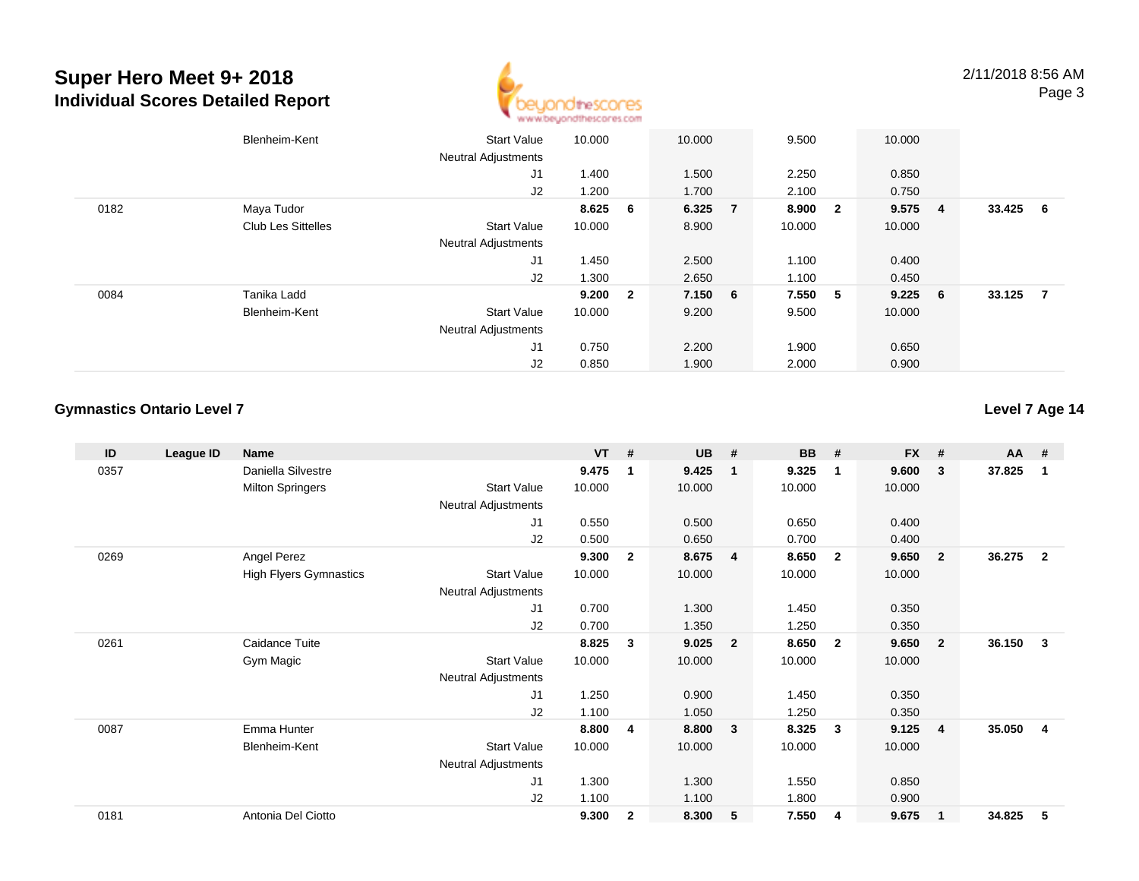

2/11/2018 8:56 AMPage 3

|      | Blenheim-Kent             | <b>Start Value</b>         | 10.000  | 10.000  | 9.500   |                         | 10.000 |                |        |                |
|------|---------------------------|----------------------------|---------|---------|---------|-------------------------|--------|----------------|--------|----------------|
|      |                           | <b>Neutral Adjustments</b> |         |         |         |                         |        |                |        |                |
|      |                           | J <sub>1</sub>             | 1.400   | 1.500   | 2.250   |                         | 0.850  |                |        |                |
|      |                           | J2                         | 1.200   | 1.700   | 2.100   |                         | 0.750  |                |        |                |
| 0182 | Maya Tudor                |                            | 8.625 6 | 6.325 7 | 8.900   | $\overline{\mathbf{2}}$ | 9.575  | $\blacksquare$ | 33.425 | - 6            |
|      | <b>Club Les Sittelles</b> | <b>Start Value</b>         | 10.000  | 8.900   | 10.000  |                         | 10.000 |                |        |                |
|      |                           | <b>Neutral Adjustments</b> |         |         |         |                         |        |                |        |                |
|      |                           | J1                         | 1.450   | 2.500   | 1.100   |                         | 0.400  |                |        |                |
|      |                           | J2                         | 1.300   | 2.650   | 1.100   |                         | 0.450  |                |        |                |
| 0084 | Tanika Ladd               |                            | 9.200 2 | 7.150 6 | 7.550 5 |                         | 9.225  | - 6            | 33.125 | $\overline{7}$ |
|      | Blenheim-Kent             | <b>Start Value</b>         | 10.000  | 9.200   | 9.500   |                         | 10.000 |                |        |                |
|      |                           | <b>Neutral Adjustments</b> |         |         |         |                         |        |                |        |                |
|      |                           | J <sub>1</sub>             | 0.750   | 2.200   | 1.900   |                         | 0.650  |                |        |                |
|      |                           | J2                         | 0.850   | 1.900   | 2.000   |                         | 0.900  |                |        |                |

#### **Gymnastics Ontario Level 7**

**Level 7 Age 14**

| ID   | League ID | <b>Name</b>                   |                            | $VT$ # |                | <b>UB</b> | #                       | <b>BB</b> | #                       | <b>FX</b> | #              | <b>AA</b> | #              |
|------|-----------|-------------------------------|----------------------------|--------|----------------|-----------|-------------------------|-----------|-------------------------|-----------|----------------|-----------|----------------|
| 0357 |           | Daniella Silvestre            |                            | 9.475  | $\mathbf 1$    | 9.425     | $\mathbf 1$             | 9.325     | $\mathbf 1$             | 9.600     | 3              | 37.825    | 1              |
|      |           | <b>Milton Springers</b>       | <b>Start Value</b>         | 10.000 |                | 10.000    |                         | 10.000    |                         | 10.000    |                |           |                |
|      |           |                               | <b>Neutral Adjustments</b> |        |                |           |                         |           |                         |           |                |           |                |
|      |           |                               | J1                         | 0.550  |                | 0.500     |                         | 0.650     |                         | 0.400     |                |           |                |
|      |           |                               | J2                         | 0.500  |                | 0.650     |                         | 0.700     |                         | 0.400     |                |           |                |
| 0269 |           | Angel Perez                   |                            | 9.300  | $\overline{2}$ | 8.675     | $\overline{\mathbf{4}}$ | 8.650     | $\overline{2}$          | 9.650     | $\overline{2}$ | 36.275    | $\overline{2}$ |
|      |           | <b>High Flyers Gymnastics</b> | <b>Start Value</b>         | 10.000 |                | 10.000    |                         | 10.000    |                         | 10.000    |                |           |                |
|      |           |                               | Neutral Adjustments        |        |                |           |                         |           |                         |           |                |           |                |
|      |           |                               | J1                         | 0.700  |                | 1.300     |                         | 1.450     |                         | 0.350     |                |           |                |
|      |           |                               | J2                         | 0.700  |                | 1.350     |                         | 1.250     |                         | 0.350     |                |           |                |
| 0261 |           | Caidance Tuite                |                            | 8.825  | 3              | 9.025     | $\overline{\mathbf{2}}$ | 8.650     | $\overline{\mathbf{2}}$ | 9.650     | $\overline{2}$ | 36.150    | 3              |
|      |           | Gym Magic                     | <b>Start Value</b>         | 10.000 |                | 10.000    |                         | 10.000    |                         | 10.000    |                |           |                |
|      |           |                               | <b>Neutral Adjustments</b> |        |                |           |                         |           |                         |           |                |           |                |
|      |           |                               | J1                         | 1.250  |                | 0.900     |                         | 1.450     |                         | 0.350     |                |           |                |
|      |           |                               | J2                         | 1.100  |                | 1.050     |                         | 1.250     |                         | 0.350     |                |           |                |
| 0087 |           | Emma Hunter                   |                            | 8.800  | 4              | 8.800     | $\mathbf{3}$            | 8.325     | 3                       | 9.125     | $\overline{4}$ | 35.050    | 4              |
|      |           | Blenheim-Kent                 | <b>Start Value</b>         | 10.000 |                | 10.000    |                         | 10.000    |                         | 10.000    |                |           |                |
|      |           |                               | Neutral Adjustments        |        |                |           |                         |           |                         |           |                |           |                |
|      |           |                               | J <sub>1</sub>             | 1.300  |                | 1.300     |                         | 1.550     |                         | 0.850     |                |           |                |
|      |           |                               | J2                         | 1.100  |                | 1.100     |                         | 1.800     |                         | 0.900     |                |           |                |
| 0181 |           | Antonia Del Ciotto            |                            | 9.300  | $\mathbf{2}$   | 8.300     | 5                       | 7.550     | 4                       | 9.675     | $\mathbf 1$    | 34.825    | 5              |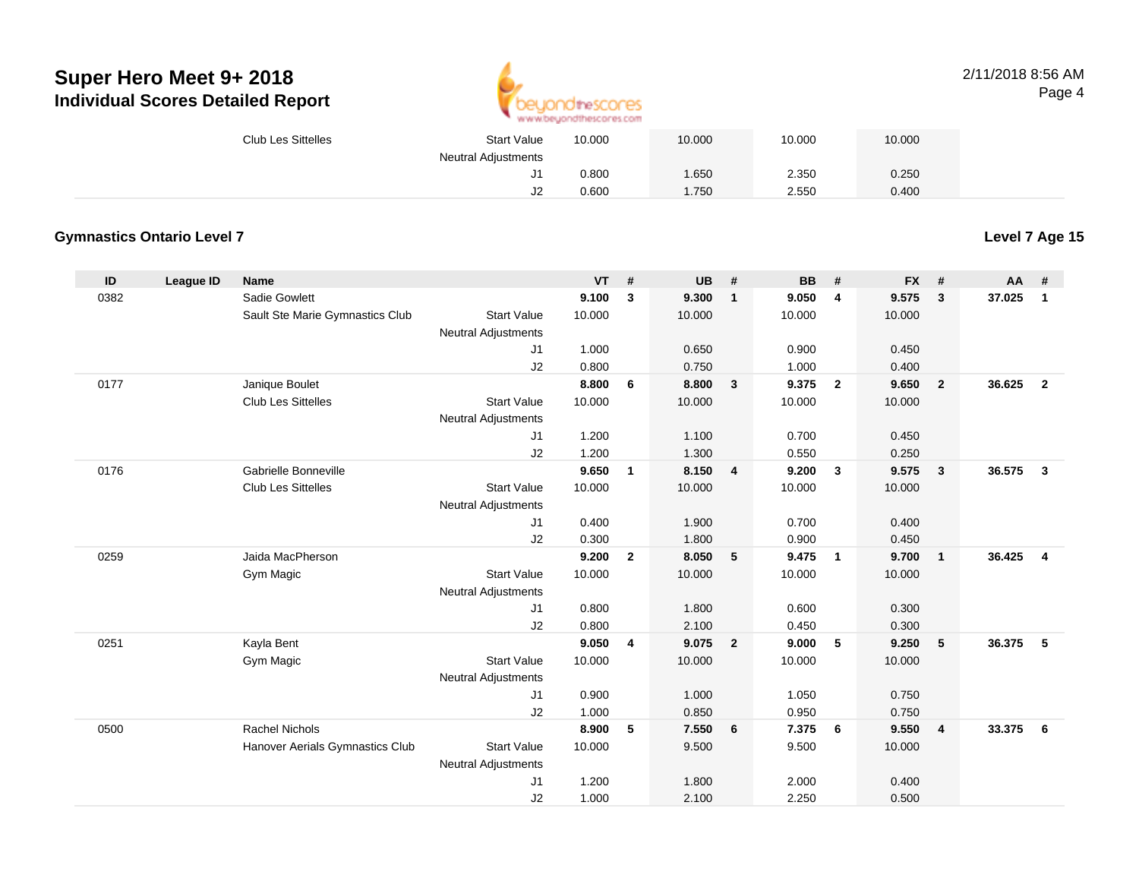

#### 2/11/2018 8:56 AMPage 4

| <b>Club Les Sittelles</b> | <b>Start Value</b>         | 10.000 | 10.000 | 10.000 | 10.000 |  |
|---------------------------|----------------------------|--------|--------|--------|--------|--|
|                           | <b>Neutral Adjustments</b> |        |        |        |        |  |
|                           | ັ                          | 0.800  | .650   | 2.350  | 0.250  |  |
|                           | ےں                         | 0.600  | .750   | 2.550  | 0.400  |  |

#### **Gymnastics Ontario Level 7**

**Level 7 Age 15**

| ID   | League ID | Name                            |                            | <b>VT</b> | #            | <b>UB</b> | #                       | <b>BB</b> | #              | <b>FX</b> | #              | <b>AA</b> | #              |
|------|-----------|---------------------------------|----------------------------|-----------|--------------|-----------|-------------------------|-----------|----------------|-----------|----------------|-----------|----------------|
| 0382 |           | Sadie Gowlett                   |                            | 9.100     | 3            | 9.300     | $\mathbf{1}$            | 9.050     | $\overline{4}$ | 9.575     | $\mathbf{3}$   | 37.025    | $\mathbf{1}$   |
|      |           | Sault Ste Marie Gymnastics Club | <b>Start Value</b>         | 10.000    |              | 10.000    |                         | 10.000    |                | 10.000    |                |           |                |
|      |           |                                 | <b>Neutral Adjustments</b> |           |              |           |                         |           |                |           |                |           |                |
|      |           |                                 | J1                         | 1.000     |              | 0.650     |                         | 0.900     |                | 0.450     |                |           |                |
|      |           |                                 | J2                         | 0.800     |              | 0.750     |                         | 1.000     |                | 0.400     |                |           |                |
| 0177 |           | Janique Boulet                  |                            | 8.800     | 6            | 8.800     | $\overline{\mathbf{3}}$ | 9.375     | $\overline{2}$ | 9.650     | $\overline{2}$ | 36.625    | $\overline{2}$ |
|      |           | <b>Club Les Sittelles</b>       | <b>Start Value</b>         | 10.000    |              | 10.000    |                         | 10.000    |                | 10.000    |                |           |                |
|      |           |                                 | <b>Neutral Adjustments</b> |           |              |           |                         |           |                |           |                |           |                |
|      |           |                                 | J1                         | 1.200     |              | 1.100     |                         | 0.700     |                | 0.450     |                |           |                |
|      |           |                                 | J2                         | 1.200     |              | 1.300     |                         | 0.550     |                | 0.250     |                |           |                |
| 0176 |           | Gabrielle Bonneville            |                            | 9.650     | $\mathbf{1}$ | 8.150     | 4                       | 9.200     | $\mathbf{3}$   | 9.575     | 3              | 36.575    | $\mathbf{3}$   |
|      |           | <b>Club Les Sittelles</b>       | <b>Start Value</b>         | 10.000    |              | 10.000    |                         | 10.000    |                | 10.000    |                |           |                |
|      |           |                                 | <b>Neutral Adjustments</b> |           |              |           |                         |           |                |           |                |           |                |
|      |           |                                 | J1                         | 0.400     |              | 1.900     |                         | 0.700     |                | 0.400     |                |           |                |
|      |           |                                 | J2                         | 0.300     |              | 1.800     |                         | 0.900     |                | 0.450     |                |           |                |
| 0259 |           | Jaida MacPherson                |                            | 9.200     | $\mathbf{2}$ | 8.050     | 5                       | 9.475     | $\overline{1}$ | 9.700     | $\mathbf{1}$   | 36.425    | $\overline{4}$ |
|      |           | Gym Magic                       | <b>Start Value</b>         | 10.000    |              | 10.000    |                         | 10.000    |                | 10.000    |                |           |                |
|      |           |                                 | <b>Neutral Adjustments</b> |           |              |           |                         |           |                |           |                |           |                |
|      |           |                                 | J1                         | 0.800     |              | 1.800     |                         | 0.600     |                | 0.300     |                |           |                |
|      |           |                                 | J2                         | 0.800     |              | 2.100     |                         | 0.450     |                | 0.300     |                |           |                |
| 0251 |           | Kayla Bent                      |                            | 9.050     | 4            | 9.075     | $\overline{2}$          | 9.000     | 5              | 9.250     | 5              | 36.375    | -5             |
|      |           | Gym Magic                       | <b>Start Value</b>         | 10.000    |              | 10.000    |                         | 10.000    |                | 10.000    |                |           |                |
|      |           |                                 | <b>Neutral Adjustments</b> |           |              |           |                         |           |                |           |                |           |                |
|      |           |                                 | J1                         | 0.900     |              | 1.000     |                         | 1.050     |                | 0.750     |                |           |                |
|      |           |                                 | J2                         | 1.000     |              | 0.850     |                         | 0.950     |                | 0.750     |                |           |                |
| 0500 |           | <b>Rachel Nichols</b>           |                            | 8.900     | 5            | 7.550     | 6                       | 7.375     | - 6            | 9.550     | $\overline{4}$ | 33.375    | 6              |
|      |           | Hanover Aerials Gymnastics Club | <b>Start Value</b>         | 10.000    |              | 9.500     |                         | 9.500     |                | 10.000    |                |           |                |
|      |           |                                 | <b>Neutral Adjustments</b> |           |              |           |                         |           |                |           |                |           |                |
|      |           |                                 | J1                         | 1.200     |              | 1.800     |                         | 2.000     |                | 0.400     |                |           |                |
|      |           |                                 | J2                         | 1.000     |              | 2.100     |                         | 2.250     |                | 0.500     |                |           |                |